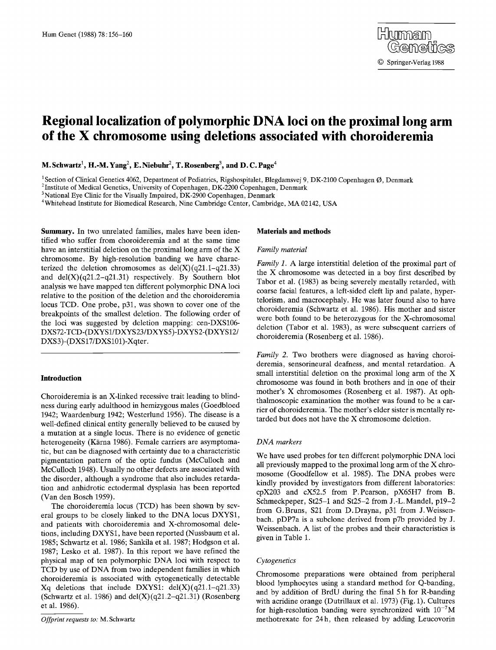# **Regional localization of polymorphic DNA loci on the proximal long arm of the X chromosome using deletions associated with choroideremia**

**M. Schwartz<sup>1</sup>, H.-M. Yang<sup>2</sup>, E. Niebuhr<sup>2</sup>, T. Rosenberg<sup>3</sup>, and D. C. Page<sup>4</sup>** 

<sup>1</sup> Section of Clinical Genetics 4062, Department of Pediatrics, Rigshospitalet, Blegdamsvej 9, DK-2100 Copenhagen Ø, Denmark

<sup>2</sup> Institute of Medical Genetics, University of Copenhagen, DK-2200 Copenhagen, Denmark

<sup>3</sup>National Eye Clinic for the Visually Impaired, DK-2900 Copenhagen, Denmark

4Whitehead Institute for Biomedical Research, Nine Cambridge Center, Cambridge, MA 02142, USA

**Summary.** In two unrelated families, males have been identified who suffer from choroideremia and at the same time have an interstitial deletion on the proximal long arm of the  $X$ chromosome. By high-resolution banding we have characterized the deletion chromosomes as  $del(X)(q21.1-q21.33)$ and  $del(X)(q21.2-q21.31)$  respectively. By Southern blot analysis we have mapped ten different polymorphic DNA loci relative to the position of the deletion and the choroideremia locus TCD. One probe, p31, was shown to cover one of the breakpoints of the smallest deletion. The following order of the loci was suggested by deletion mapping: cen-DXS106- DXS72-TCD-(DXYS1/DXYS23/DXYS5)-DXYS2-(DXYS12/ DXS3)-(DXS17/DXS101)-Xqter.

# **Introduction**

Choroideremia is an X-linked recessive trait leading to blindness during early adulthood in hemizygous males (Goedbloed 1942; Waardenburg 1942; Westerlund 1956). The disease is a well-defined clinical entity generally believed to be caused by a mutation at a single locus. There is no evidence of genetic heterogeneity (Kärna 1986). Female carriers are asymptomatic, but can be diagnosed with certainty due to a characteristic pigmentation pattern of the optic fundus (McCulloch and McCulloch 1948). Usually no other defects are associated with the disorder, although a syndrome that also includes retardation and anhidrotic ectodermal dysplasia has been reported (Van den Bosch 1959).

The choroideremia locus (TCD) has been shown by several groups to be closely linked to the DNA locus DXYS1, and patients with choroideremia and X-chromosomal deletions, including DXYS1, have been reported (Nussbaum et al. 1985; Schwartz et al. 1986; Sankila et al. 1987; Hodgson et al. 1987; Lesko et al. 1987). In this report we have refined the physical map of ten polymorphic DNA loci with respect to TCD by use of DNA from two independent families in which choroideremia is associated with cytogenetically detectable Xq deletions that include DXYS1: del $(X)(q21.1-q21.33)$ (Schwartz et al. 1986) and  $del(X)(q21.2-q21.31)$  (Rosenberg et al. 1986).

## **Materials and methods**

## *Family material*

*Family* 1. A large interstitial deletion of the proximal part of the X chromosome was detected in a boy first described by Tabor et al. (1983) as being severely mentally retarded, with coarse facial features, a left-sided cleft lip and palate, hypertelorism, and macrocephaly. He was later found also to have choroideremia (Schwartz et al. 1986). His mother and sister were both found to be heterozygous for the X-chromosomal deletion (Tabor et al. 1983), as were subsequent carriers of choroideremia (Rosenberg et al. 1986).

*Family 2.* Two brothers were diagnosed as having choroideremia, sensorineural deafness, and mental retardation. A small interstitial deletion on the proximal long arm of the X chromosome was found in both brothers and in one of their mother's X chromosomes (Rosenberg et al. 1987). At ophthalmoscopic examination the mother was found to be a carrier of choroideremia. The mother's elder sister is mentally retarded but does not have the X chromosome deletion.

#### *DNA markers*

We have used probes for ten different polymorphic DNA loci all previously mapped to the proximal long arm of the X chromosome (Goodfellow et al. 1985). The DNA probes were kindly provided by investigators from different laboratories: cpX203 and cX52.5 from P.Pearson, pX65H7 from B. Schmeckpeper, St25-1 and St25-2 from J.-L. Mandel, p19-2 from G.Bruns, \$21 from D.Drayna, p31 from J.Weissenbach. pDP7a is a subclone derived from p7b provided by J. Weissenbach. A list of the probes and their characteristics is given in Table 1.

## *Cytogenetics*

Chromosome preparations were obtained from peripheral blood lymphocytes using a standard method for Q-banding, and by addition of BrdU during the final 5 h for R-banding with acridine orange (Dutrillaux et al. 1973) (Fig. 1). Cultures for high-resolution banding were synchronized with  $10^{-7}$ M methotrexate for 24h, then released by adding Leucovorin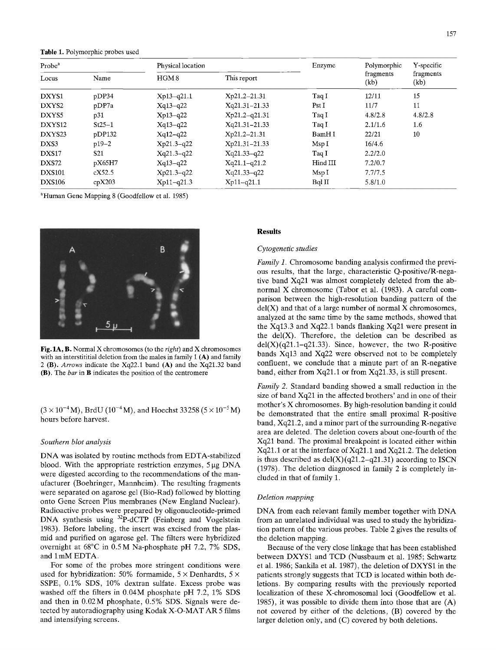**Table** 1. Polymorphic probes used

| Probe <sup>a</sup> |                 | Physical location |                  | Enzyme   | Polymorphic       | Y-specific        |
|--------------------|-----------------|-------------------|------------------|----------|-------------------|-------------------|
| Locus              | Name            | HGM <sub>8</sub>  | This report      |          | fragments<br>(kb) | fragments<br>(kb) |
| DXYS1              | pDP34           | $Xp13-q21.1$      | $Xp21.2 - 21.31$ | Taq I    | 12/11             | 15                |
| DXYS <sub>2</sub>  | pDP7a           | $Xq13-q22$        | Xq21.31-21.33    | Pst I    | 11/7              | 11                |
| DXYS5              | p31             | $Xp13-q22$        | $Xp21.2-q21.31$  | Taq I    | 4.8/2.8           | 4.8/2.8           |
| DXYS12             | $St25-1$        | $Xq13-q22$        | Xq21.31-21.33    | Taq I    | 2.1/1.6           | 1.6               |
| DXYS <sub>23</sub> | pDP132          | $Xq12-q22$        | Xp21.2-21.31     | BamH I   | 22/21             | 10                |
| DXS3               | $p19-2$         | $Xp21.3-q22$      | Xp21.31-21.33    | MspI     | 16/4.6            |                   |
| DXS17              | S <sub>21</sub> | $Xq21.3-q22$      | $Xq21.33-q22$    | Taq I    | 2.2/2.0           |                   |
| DXS72              | pX65H7          | $Xq13-q22$        | $Xq21.1-q21.2$   | Hind III | 7.2/0.7           |                   |
| <b>DXS101</b>      | cX52.5          | $Xp21.3-q22$      | $Xq21.33-q22$    | MspI     | 7.7/7.5           |                   |
| <b>DXS106</b>      | cpX203          | $Xp11-q21.3$      | $Xp11-q21.1$     | Bql II   | 5.8/1.0           |                   |

~Human Gene Mapping 8 (Goodfellow et al. 1985)



Fig. 1A, B. Normal X chromosomes (to the *right)* and X chromosomes with an interstititial deletion from the males in family  $1(A)$  and family 2 (B). *Arrows* indicate the Xq22.1 band (A) and the Xq21.32 band (B). The *bar* in B indicates the position of the centromere

 $(3 \times 10^{-4} M)$ , BrdU  $(10^{-4} M)$ , and Hoechst 33258 ( $5 \times 10^{-5} M$ ) hours before harvest.

#### *Southern blot analysis*

DNA was isolated by routine methods from EDTA-stabilized blood. With the appropriate restriction enzymes,  $5 \mu g$  DNA were digested according to the recommendations of the manufacturer (Boehringer, Mannheim). The resulting fragments were separated on agarose gel (Bio-Rad) followed by blotting onto Gene Screen Plus membranes (New England Nuclear). Radioactive probes were prepared by oligonucleotide-primed DNA synthesis using <sup>32</sup>P-dCTP (Feinberg and Vogelstein 1983). Before labeling, the insert was excised from the plasmid and purified on agarose gel. The filters were hybridized overnight at 68°C in 0.5 M Na-phosphate pH 7.2, 7% SDS, and lmM EDTA.

For some of the probes more stringent conditions were used for hybridization: 50% formamide,  $5 \times$  Denhardts,  $5 \times$ SSPE, 0.1% SDS, 10% dextran sulfate. Excess probe was washed off the filters in 0.04M phosphate pH 7.2, 1% SDS and then in 0.02M phosphate, 0.5% SDS. Signals were detected by autoradiography using Kodak X-O-MAT AR 5 films and intensifying screens.

#### **Results**

## *Cytogenetic studies*

*Family 1.* Chromosome banding analysis confirmed the previous results, that the large, characteristic Q-positive/R-negative band Xq21 was almost completely deleted from the abnormal X chromosome (Tabor et al. (1983). A careful comparison between the high-resolution banding pattern of the  $del(X)$  and that of a large number of normal X chromosomes, analyzed at the same time by the same methods, showed that the Xq13.3 and Xq22.1 bands flanking Xq21 were present in the  $del(X)$ . Therefore, the deletion can be described as  $del(X)(q21.1-q21.33)$ . Since, however, the two R-positive bands Xq13 and Xq22 were observed not to be completely confluent, we conclude that a minute part of an R-negative band, either from Xq21.1 or from Xq21.33, is still present.

*Family 2.* Standard banding showed a small reduction in the size of band Xq21 in the affected brothers' and in one of their mother's X chromosomes. By high-resolution banding it could be demonstrated that the entire small proximal R-positive band, Xq21.2, and a minor part of the surrounding R-negative area are deleted. The deletion covers about one-fourth of the Xq21 band. The proximal breakpoint is located either within Xq21.1 or at the interface of Xq21.1 and Xq21.2. The deletion is thus described as  $del(X)(q21.2-q21.31)$  according to ISCN (1978). The deletion diagnosed in family 2 is completely included in that of family 1.

## *Deletion mapping*

DNA from each relevant family member together with DNA from an unrelated individual was used to study the hybridization pattern of the various probes. Table 2 gives the results of the deletion mapping.

Because of the very close linkage that has been established between DXYS1 and TCD (Nussbaum et al. 1985; Schwartz et al. 1986; Sankila et al. 1987), the deletion of DXYS1 in the patients strongly suggests that TCD is located within both deletions. By comparing results with the previously reported localization of these X-chromosomal loci (Goodfellow et al. 1985), it was possible to divide them into those that are  $(A)$ not covered by either of the deletions, (B) covered by the larger deletion only, and (C) covered by both deletions.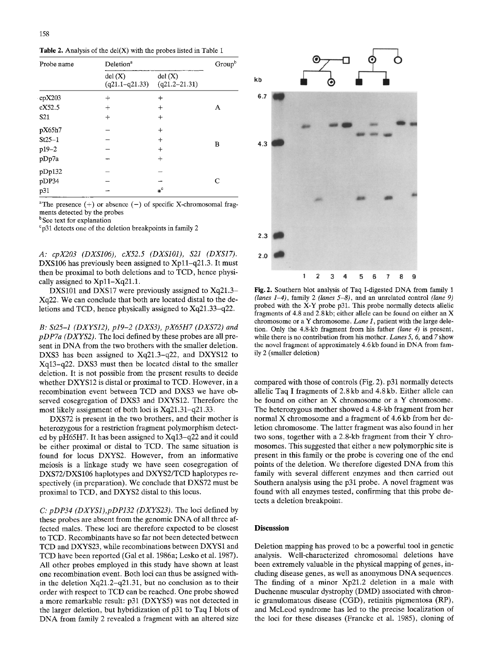|  | Table 2. Analysis of the $del(X)$ with the probes listed in Table 1 |
|--|---------------------------------------------------------------------|
|  |                                                                     |

| Probe name      | Deletion <sup>a</sup>        |                             |   |
|-----------------|------------------------------|-----------------------------|---|
|                 | del(X)<br>$(q21.1 - q21.33)$ | del(X)<br>$(q21.2 - 21.31)$ |   |
| cpX203          | $\div$                       | $\div$                      |   |
| cX52.5          | $^{+}$                       | $+$                         | Α |
| S <sub>21</sub> | $^{+}$                       | $^{+}$                      |   |
| pX65h7          |                              | $^{+}$                      |   |
| $St25-1$        |                              | $\ddot{}$                   |   |
| p19-2           |                              | $^{+}$                      | B |
| pDp7a           |                              | $^{+}$                      |   |
| pDp132          |                              |                             |   |
| pDP34           |                              |                             | C |
| p31             |                              | $*^c$                       |   |

<sup>a</sup>The presence  $(+)$  or absence  $(-)$  of specific X-chromosomal fragments detected by the probes

<sup>b</sup> See text for explanation

~p31 detects one of the deletion breakpoints in family 2

*A: cpX203 (DXSI06), cX52.5 (DXSIO1), \$21 (DXS17).*  DXS106 has previously been assigned to Xp11-q21.3. It must then be proximal to both deletions and to TCD, hence physically assigned to Xp11-Xq21.1.

DXS101 and DXS17 were previously assigned to Xq21.3– Xq22. We can conclude that both are located distal to the deletions and TCD, hence physically assigned to Xq21.33-q22.

*B: St25-1 (DXYS12), p19-2 (DXS3), pX65H7 (DXS72) and pDP7a (DXYS2).* The loci defined by these probes are all present in DNA from the two brothers with the smaller deletion. DXS3 has been assigned to Xq21.3-q22, and DXYS12 to Xq13-q22. DXS3 must then be located distal to the smaller deletion. It is not possible from the present results to decide whether DXYS12 is distal or proximal to TCD. However, in a recombination event between TCD and DXS3 we have observed cosegregation of DXS3 and DXYS12. Therefore the most likely assignment of both loci is  $Xq21.31-q21.33$ .

DXS72 is present in the two brothers, and their mother is heterozygous for a restriction fragment polymorphism detected by pH65H7. It has been assigned to Xq13-q22 and it could be either proximal or distal to TCD. The same situation is found for locus DXYS2. However, from an informative meiosis is a linkage study we have seen cosegregation of DXS72/DXS106 haplotypes and DXYS2/TCD haplotypes respectively (in preparation). We conclude that DXS72 must be proximal to TCD, and DXYS2 distal to this locus.

*C: pDP34 (DXYS1),pDP132 (DXYS23).* The loci defined by these probes are absent from the genomic DNA of all three affected males. These loci are therefore expected to be closest to TCD. Recombinants have so far not been detected between TCD and DXYS23, while recombinations between DXYS1 and TCD have been reported (Gal et al. 1986a; Lesko et al. 1987). All other probes employed in this study have shown at least one recombination event. Both loci can thus be assigned within the deletion  $Xq21.2-q21.31$ , but no conclusion as to their order with respect to TCD can be reached. One probe showed a more remarkable result: p31 (DXYS5) was not detected in the larger deletion, but hybridization of p31 to Taq I blots of DNA from family 2 revealed a fragment with an altered size



Fig. 2. Southern blot analysis of Taq I-digested DNA from family 1 *(lanes 1-4),* family 2 *(lanes 5-8),* and an unrelated control *(lane 9)*  probed with the X-Y probe p31. This probe normally detects allelic fragments of 4.8 and 2.8kb; either allele can be found on either an X chromosome or a Y chromosome. *Lane 1,* patient with the large deletion. Only the 4.8-kb fragment from his father *(lane 4)* is present, while there is no contribution from his mother. *Lanes 5, 6,* and 7 show the novel fragment of approximately 4.6 kb found in DNA from family 2 (smaller deletion)

compared with those of controls (Fig. 2). p31 normally detects allelic Taq I fragments of 2.8 kb and 4.8 kb. Either allele can be found on either an X chromosome or a Y chromosome. The heterozygous mother showed a 4.8-kb fragment from her normal X chromosome and a fragment of 4.6 kb from her deletion chromosome. The latter fragment was also found in her two sons, together with a 2.8-kb fragment from their Y chromosomes. This suggested that either a new polymorphic site is present in this family or the probe is covering one of the end points of the deletion. We therefore digested DNA from this family with several different enzymes and then carried out Southern analysis using the p31 probe. A novel fragment was found with all enzymes tested, confirming that this probe detects a deletion breakpoint.

## **Discussion**

Deletion mapping has proved to be a powerful tool in genetic analysis. Well-characterized chromosomal deletions have been extremely valuable in the physical mapping of genes, including disease genes, as well as anonymous DNA sequences. The finding of a minor Xp21.2 deletion in a male with Duchenne muscular dystrophy (DMD) associated with chronic granulomatous disease (CGD), retinitis pigmentosa (RP), and McLeod syndrome has led to the precise localization of the loci for these diseases (Francke et al. 1985), cloning of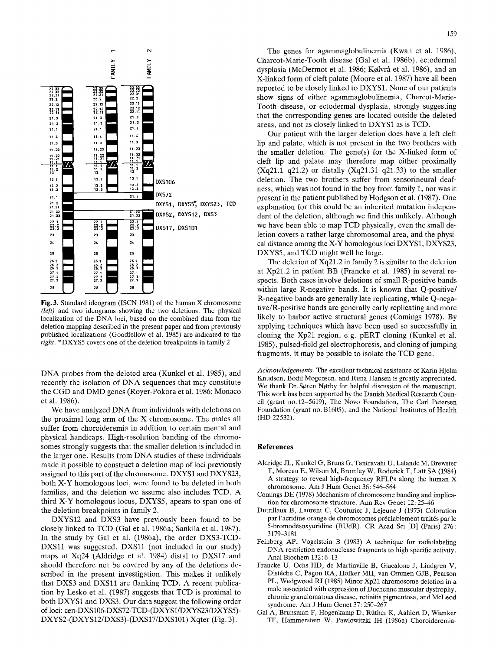

Fig. 3. Standard ideogram (ISCN 1981) of the human X chromosome *(left)* and two ideograms showing the two deletions. The physical localization of the DNA loci, based on the combined data from the deletion mapping described in the present paper and from previously published localizations (Goodfellow et al. 1985) are indicated to the *right. \** DXYS5 covers one of the deletion breakpoints in family 2

DNA probes from the deleted area (Kunkel et al. 1985), and recently the isolation of DNA sequences that may constitute the CGD and DMD genes (Royer-Pokora et al. 1986; Monaco et al. 1986).

We have analyzed DNA from individuals with deletions on the proximal long arm of the X chromosome. The males all suffer from choroideremia in addition to certain mental and physical handicaps. High-resolution banding of the chromosomes strongly suggests that the smaller deletion is included in the larger one. Results from DNA studies of these individuals made it possible to construct a deletion map of loci previously assigned to this part of the chromosome. DXYS1 and DXYS23, both X-Y homologous loci, were found to be deleted in both families, and the deletion we assume also includes TCD. A third X-Y homologous locus, DXYS5, apears to span one of the deletion breakpoints in family 2.

DXYS12 and DXS3 have previously been found to be closely linked to TCD (Gal et al. 1986a; Sankila et al. 1987). In the study by Gal et al. (1986a), the order DXS3-TCD-DXS11 was suggested. DXS11 (not included in our study) maps at Xq24 (Aldridge et al. 1984) distal to DXS17 and should therefore not be covered by any of the deletions described in the present investigation. This makes it unlikely that DXS3 and DXSll are flanking TCD. A recent publication by Lesko et al. (1987) suggests that TCD is proximal to both DXYS1 and DXS3. Our data suggest the following order of loci: cen-DXS106-DXS72-TCD-(DXYS1/DXYS23/DXYS5)- *DXYS2-(DXYS12/DXS3)-(DXS17/DXS101)* Xqter (Fig. 3).

The genes for agammaglobulinemia (Kwan et al. 1986), Charcot-Marie-Tooth disease (Gal et al. 1986b), ectodermal dysplasia (McDermot et al. 1986; Kølvrå et al. 1986), and an X-linked form of cleft palate (Moore et al. 1987) have all been reported to be closely linked to DXYS1. None of our patients show signs of either agammaglobulinemia, Charcot-Marie-Tooth disease, or ectodermal dysplasia, strongly suggesting that the corresponding genes are located outside the deleted areas, and not as closely linked to DXYS1 as is TCD.

Our patient with the larger deletion does have a left cleft lip and palate, which is not present in the two brothers with the smaller deletion. The gene(s) for the X-linked form of cleft lip and palate may therefore map either proximally  $(Xq21.1-q21.2)$  or distally  $(Xq21.31-q21.33)$  to the smaller deletion. The two brothers suffer from sensorineural deafness, which was not found in the boy from family 1, nor was it present in the patient published by Hodgson et al. (1987). One explanation for this could be an inherited mutation independent of the deletion, although we find this unlikely. Although we have been able to map TCD physically, even the small deletion covers a rather large chromosomal area, and the physical distance among the X-Y homologous loci DXYS1, DXYS23, DXYS5, and TCD might well be large.

The deletion of Xq21.2 in family 2 is similar to the deletion at Xp21.2 in patient BB (Francke et al. 1985) in several respects. Both cases involve deletions of small R-positive bands within large R-negative bands. It is known that Q-positive/ R-negative bands are generally late replicating, while Q-negafive/R-positive bands are generally early replicating and more likely to harbor active structural genes (Comings 1978). By applying techniques which have been used so successfully in cloning the Xp21 region, e.g. pERT cloning (Kunkel et al. 1985), pulsed-field gel electrophoresis, and cloning of jumping fragments, it may be possible to isolate the TCD gene.

*Acknowledgements.* The excellent technical assistance of Karin Hjelm Knudsen, Bodil Mogensen, and Runa Hansen is greatly appreciated. We thank Dr. Søren Nørby for helpful discussion of the manuscript. This work has been supported by the Danish Medical Research Council (grant no. 12-5619), The Novo Foundation, The Carl Petersen Foundation (grant no. B1605), and the National Institutes of Health (HD 22532).

### **References**

- Aldridge JL, Kunkel G, Bruns G, Tantravahi U, Lalande M, Brewster T, Moreau E, Wilson M, Bromley W, Roderick T, Latt SA (1984) A strategy to reveal high-frequency RFLPs along the human X chromosome. Am J Hum Genet 36 : 546-564
- Comings DE (1978) Mechanism of chromosome banding and implication for chromosome structure. Ann Rev Genet 12 : 25-46
- Dutrillaux B, Laurent C, Couturier J, Lejeune J (1973) Coloration par l'acridine orange de chromosomes préalablement traités par le 5-bromod6soxyuridine (BUdR). CR Acad Sci [D] (Paris) 276: 3179-3181
- Feinberg AP, Vogelstein B (1983) A technique for radiolabeling DNA restriction endonuclease fragments to high specific activity. Anal Biochem 132:6-13
- Francke U, Ochs HD, de Martinville B, Giacalone J, Lindgren V, Distéche C, Pagon RA, Hofker MH, van Ommen GJB, Pearson PL, Wedgwood RJ (1985) Minor Xp21 chromosome deletion in a male associated with expression of Duchenne muscular dystrophy, chronic granulomatous disease, retinitis pigmentosa, and McLeod syndrome. Am J Hum Genet 37 : 250-267
- Gal A, Brunsman F, Hogenkamp D, Rüther K, Aahlert D, Wienker TF, Hammerstein W, Pawlowitzki IH (1986a) Choroideremia-